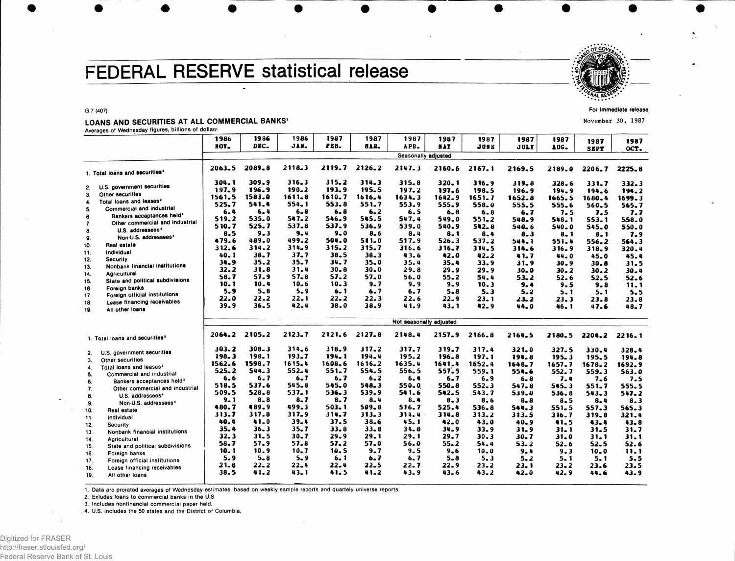# FEDERAL RESERVE statistical release



**For Immediate release**

**November 30, 1987**

# LOANS AND SECURITIES AT ALL COMMERCIAL BANKS'

**Averages of Wednesday figures, billions of dollars**

**G.7 (407)**

|     |                                            | 1986     | 1986      | 1986       | 1987     | 1987                    | 1987                | 1987       | 1987     | 1987      | 1987         | 1987         | 1987         |
|-----|--------------------------------------------|----------|-----------|------------|----------|-------------------------|---------------------|------------|----------|-----------|--------------|--------------|--------------|
|     |                                            | NOV-     | DEC.      | JAN.       | PEB.     | 812.                    | APR.                | <b>HAY</b> | JUNE     | JULY      | AUG.         | <b>SEPT</b>  | OCT.         |
|     |                                            |          |           |            |          |                         | Seasonally adjusted |            |          |           |              |              |              |
|     |                                            |          |           |            |          |                         |                     |            |          |           |              |              |              |
|     | 1. Total loans and securities <sup>2</sup> | 2063.5   | 2089.8    | 2118.3     | 2119.7   | 2126.2                  | 2147.3              | 2160.6     | 2167.1   | 2169.5    | 2189.0       | 2206.7       | 2225.8       |
|     |                                            | 304.1    | 309.9     | 316.3      | 315.2    | 314.3                   | 315.8               | $320 - 1$  | 316.9    | 319.8     | 328.6        | 331.7        | 332.3        |
| 2.  | U.S. government securities                 | 197.9    | 196.9     | $190 - 2$  | 193.9    | 195.5                   | 197.2               | 197.6      | 198.5    | 196.9     | 194.9        | 194.6        | 194.2        |
| 3.  | Other securities                           | 1561.5   | 1583.0    | $1611 - 8$ | 1610.7   | 1616.4                  | 1634.3              | $1642 - 9$ | 1651.7   | 1652.8    | 1665.5       | 1680.4       | 1699.3       |
| 4.  | Total loans and leases <sup>2</sup>        | 525.7    | 541.4     | 554.1      | 553.8    | 551.7                   | 553.9               | 555.9      | 558.0    | 555.5     | 555.6        | 560.5        | 565.7        |
| 5.  | Commercial and industrial                  | $6 - 4$  | 6.4       | $6 - 8$    | $6 - 8$  | 6.2                     | 6.5                 | 6.8        | 6.8      | 6.7       | 7.5          | 7.5          | 7.7          |
| 6.  | Bankers acceptances held <sup>3</sup>      | 519.2    | 535.0     | 547.2      | 546.9    | 545.5                   | 547.4               | 549.0      | 551.2    | 548.9     | 548.1        | 553.1        | 558.0        |
| 7.  | Other commercial and industrial            | 510.7    | 525.7     | 537.8      | 537.9    | 536.9                   | 539.0               | 540.9      | 542.8    | 540.6     | 540.0        | 545.0        | 550.0        |
| 8.  | U.S. addressees <sup>4</sup>               | 8.5      | $9 - 3$   | $9 - 4$    | $9 - 0$  | $8 - 6$                 | 8.4                 | $8 - 1$    | 8.4      | $8 - 3$   | $8 - 1$      | 8.1          | 7.9          |
| 9.  | Non-U.S. addressees <sup>4</sup>           | 479.6    | 489.0     | 499.2      | 504.0    | 511.0                   | 517.9               | 526.3      | 537.2    | 544.1     | 551.4        | 556.2        | 564.3        |
| 10. | Real estate                                | 312.6    | 314.2     | 314.9      | 315.2    | 315.7                   | 316.6               | 316.7      | 314.5    | 314.6     | $316 - 9$    | 318.9        | 320.4        |
| 11. | Individual                                 | 40.1     | 38.7      | 37.7       | 38.5     | $38 - 3$                | 43.6                | 42.0       | 42.2     | 41.7      | 44.0         | 45.0         | 45.4         |
| 12. | Security                                   | 34.9     | 35.2      | $35 - 7$   | 34.7     | $35 - 0$                | 35.4                | $35 - 4$   | 33.9     | $31 - 9$  | 30.9         | 30.8         | 31.5         |
| 13. | Nonbank financial institutions             | $32 - 2$ | 31.8      | $31 - 4$   | $30 - 8$ | 30.0                    | $29 - 8$            | 29.9       | 29.9     | 30.0      | 30.2         | 30.2         | $30 - 4$     |
| 14. | <b>Agricultural</b>                        | 58.7     | 57.9      | $57 - 8$   | 57.2     | 57.0                    | 56.0                | 55.2       | 54.4     | $53 - 2$  | $52 - 6$     | 52.5         | 52.6         |
| 15. | State and political subdivisions           | 10.1     | 10.4      | $10 - 6$   | 10.3     | $9 - 7$                 | $9 - 9$             | $9 - 9$    | 10.3     | 9.4       | 9.5          | 9.8          | 11.1         |
| 16. | Foreign banks                              | 5.9      | $5 - 8$   | $5 - 9$    | 6.1      | 6.7                     | 6.7                 | $5 - 8$    | 5.3      | $5 - 2$   | $5 - 1$      | 5.1          | $5 - 5$      |
| 17. | Foreign official institutions              | 22.0     | 22.2      | 22.1       | $22 - 2$ | $22 - 3$                | 22.6                | 22.9       | 23.1     | 23.2      |              |              |              |
| 18. | Lease financing receivables                | 39.9     | 36.5      | 42.4       | 38.0     | 38.9                    | 41.9                | $43 - 1$   | 42.9     | 44.0      | 23.3<br>46.1 | 23.8<br>47.6 | 23.8<br>48.7 |
| 19. | All other loans                            |          |           |            |          |                         |                     |            |          |           |              |              |              |
|     |                                            |          |           |            |          | Not seasonally adjusted |                     |            |          |           |              |              |              |
|     |                                            | 2064.2   | 2105.2    | $2123 - 7$ | 2121.6   | 2127.8                  | 2148.4              | 2157.9     | 2166.8   |           |              |              |              |
|     | 1. Total loans and securities <sup>1</sup> |          |           |            |          |                         |                     |            |          | 2164.5    | 2180.5       | 2204.2       | 2216.1       |
| 2.  | U.S. government securities                 | 303.2    | 308.3     | 314.6      | 318.9    | 317.2                   | 317.7               | 319.7      | 317.4    | $321 - 0$ | 327.5        | 330.4        | 328.4        |
| 3.  | Other securities                           | 198.3    | 198.1     | 193.7      | 194.1    | 194.4                   | 195.2               | 196.8      | 197.1    | 194.8     | 195.3        | 195.5        | 194.8        |
| 4.  | Total loans and leases <sup>2</sup>        | 1562.6   | 1598.7    | 1615.4     | 1608.6   | $1616 - 2$              | 1635.4              | 1641.4     | 1652.4   | 1648.7    | 1657.7       | 1678.2       | 1692.9       |
| 5.  | Commercial and industrial                  | 525.2    | 544.3     | 552.4      | 551.7    | 554.5                   | 556.5               | 557.5      | 559.1    | 554.6     | 552.7        | 559.3        | 563.0        |
| 6.  | Bankers acceptances held <sup>3</sup>      | 6.6      | 6.7       | $6 - 7$    | 6. 7     | 6.2                     | 6.4                 | 6.7        | $6 - 9$  | 6. 8      | 7.4          | 7.6          | 7.5          |
| 7.  | Other commercial and industrial            | 518.5    | 537.6     | 545.8      | 545.0    | 548.3                   | 550.0               | 550.8      | 552.3    | 547.8     | 545.3        | 551.7        | 555.5        |
| 8.  | U.S. addressees <sup>4</sup>               | 509.5    | $528 - 8$ | 537.1      | 536.3    | 539.9                   | 541.6               | 542.5      | 543.7    | 539.0     | 536.8        | 543.3        | 547.2        |
| 9.  | Non-U.S. addressees <sup>4</sup>           | $9 - 1$  | $8 - 8$   | $8 - 7$    | 8.7      | $8 - 4$                 | 8.4                 | $8 - 3$    | 8.6      | $8 - 8$   | $8 - 5$      | 8.4          | 8.3          |
| 10. | Real estate                                | 480.7    | 489.9     | 499.3      | 503.1    | 509.8                   | 516.7               | 525.4      | 536.8    | 544.3     | 551.5        | 557.3        | 565.3        |
| 11. | Individual                                 | 313.7    | 317.8     | 317.9      | 314.7    | 313.3                   | 314.4               | 314.8      | 313.2    | 313.5     | 316.7        | 319.8        | 321.4        |
|     | Security                                   | 40.4     | 41.0      | 39.4       | 37.5     | $38 - 6$                | 45.1                | $42 - C$   | 43.0     | 40.9      | 41.5         | 43.4         | $43 - 8$     |
| 12. |                                            | 35.4     | 36.3      | $35 - 7$   | $33 - 8$ | 33.8                    | 34.8                | $34 - 9$   | 33.9     | $31 - 9$  | $31 - 1$     | 31.5         | $31 - 7$     |
| 13. | Nonbank financial institutions             | 32.3     | 31.5      | $30 - 7$   | 29.9     | 29.1                    | 29.1                | 29.7       | 30.3     | 30.7      | 31.0         | $31 - 1$     | 31.1         |
| 14. | Agricultural                               | 58.7     | 57.9      | 57.8       | 57.2     | 57.0                    | 56.0                | $55 - 2$   | 54.4     | $53 - 2$  | 52.6         | 52.5         | 52.6         |
| 15. | State and political subdivisions           | 10.1     | 10.9      | $10 - 7$   | 10.5     | $9 - 7$                 | 9.5                 | $9 - 6$    | 10.0     | 9.4       | 9.3          | 10.0         | 11.1         |
| 16. | Foreign banks                              | 5.9      | $5 - 8$   | $5 - 9$    | 6.1      | 6.7                     | 6.7                 | $5 - 8$    | 5.3      | $5 - 2$   | 5. 1         | 5.1          | 5.5          |
| 17. | Foreign official institutions              | 21.8     | 22.2      | $22 - 4$   | 22.4     | 22.5                    | 22.7                | 22.9       | $23 - 2$ | 23. 1     | 23.2         | 23.6         | 23.5         |
| 18. | Lease financing receivables                | 38.5     | 41.2      | $43 - 1$   | 41.5     | 41.2                    | 43.9                | 43.6       | $43 - 2$ | 42.0      | 42.9         | 44.6         | 43.9         |
| 19. | All other loans                            |          |           |            |          |                         |                     |            |          |           |              |              |              |

1. Data are prorated averages of Wednesday estimates, based on weekly sample reports and quartely universe reports.

**2. Exludes loans to commercial banks in the U.S.**

**3. Includes nonfinancial commercial paper held.**

**4. U.S. includes the 50 state s and the District of Columbia.**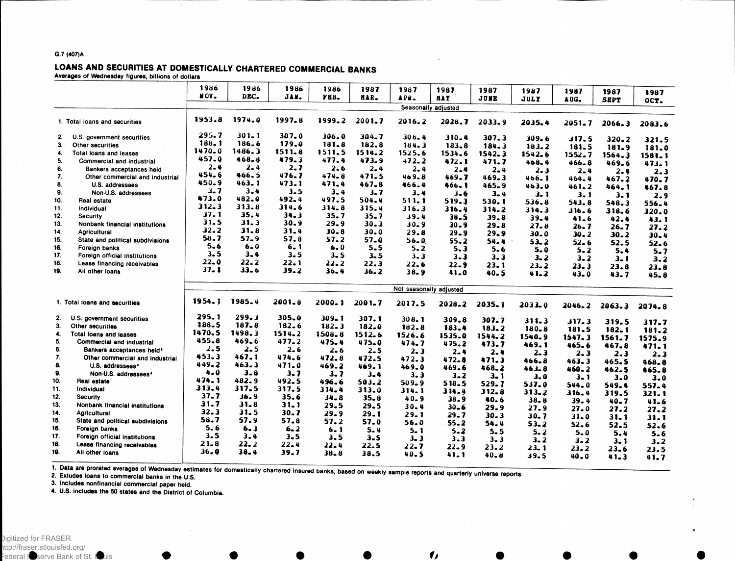### G.7 (407)A

in a

## LOANS AND SECURITIES AT DOMESTICALLY CHARTERED COMMERCIAL BANKS Averages of Wednesday figures, billions of dollars

|     |                                       | 1986      | 1986      | 1986       | 1986      | 1987       | 1987                    | 1987       | 1987        |           |            |              |          |
|-----|---------------------------------------|-----------|-----------|------------|-----------|------------|-------------------------|------------|-------------|-----------|------------|--------------|----------|
|     |                                       | NOV.      | DEC.      | JAN.       | PEB.      | HAR.       | APR.                    | <b>HAY</b> | JUNE        | 1987      | 1987       | 1987         | 1987     |
|     |                                       |           |           |            |           |            | Seasonally adjusted     |            |             | JULY      | AUG.       | <b>SEPT</b>  | OCT.     |
|     |                                       |           |           |            |           |            |                         |            |             |           |            |              |          |
|     | 1. Total loans and securities         | 1953.8    | 1974.0    | 1997.8     | 1999.2    | 2001.7     | 2016.2                  | 2028.7     | 2033.9      | 2035.4    | $2051 - 7$ | $2066 - 3$   | 2083.6   |
| 2.  | U.S. government securities            | 295.7     | $301 - 1$ | 307.0      | 306.0     | 304.7      | 306.4                   | 310.4      | 307.3       | $309 - 6$ | 317.5      | 320.2        | 321.5    |
| 3.  | Other securities                      | 188.1     | 186.6     | 179.0      | 181.8     | 182.8      | 184.3                   | 183.8      | $184 - 3$   | 183.2     | 181.5      | 181.9        | 181.0    |
| 4.  | Total loans and leases                | 1470.0    | 1486.3    | 1511.8     | 1511.5    | 1514.2     | 1525.6                  | 1534.6     | 1542.3      | 1542.6    | 1552.7     | 1564.3       | 1581.1   |
| 5.  | Commercial and industrial             | 457.0     | 468.8     | 479.3      | 477.4     | 473.9      | $472 - 2$               | 472.1      | 471.7       | 468.4     | $466 - 8$  | 469.6        | 473.1    |
| 6.  | Bankers acceptances held              | $2 - 4$   | $2 - 4$   | $2 - 7$    | 2.6       | $2 - 4$    | $2 - 4$                 | $2 - 4$    | 2.4         | 2.3       | $2 - 4$    | 2.4          | 2.3      |
| 7.  | Other commercial and industrial       | 454.6     | 466.5     | 476.7      | 474.8     | 471.5      | 469.8                   | 469.7      | 469.3       | 466.1     | 464.4      | 467.2        | 470.7    |
| 8.  | U.S. addressees                       | 450.9     | 463.1     | 473.1      | 471.4     | 467.8      | 466.4                   | 466.1      | 465.9       | 463.0     | $461 - 2$  | 464.1        | 467.8    |
| 9.  | Non-U.S. addressees                   | $3 - 7$   | $3 - 4$   | $3 - 5$    | $3 - 4$   | 3.7        | $3 - 4$                 | $3 - 6$    | $3 - 4$     | 3.1       | 3.1        |              |          |
| 10. | Real estate                           | 473.0     | 482.0     | $492 - 4$  | 497.5     | 504.4      | 511.1                   | 519.3      | 530.1       | 536.8     | 543.8      | 3.1<br>548.3 | 2.9      |
| 11. | Individual                            | $312 - 3$ | 313.8     | 314.6      | 314.8     | 315.4      | 316.3                   | 316.4      | 314.2       | 314.3     | 6 ـ 16 ك   |              | 556.4    |
| 12. | <b>Security</b>                       | 37.1      | 35.4      | 34.3       | 35.7      | $35 - 7$   | 39.4                    | 38.5       | 39.8        | 39.4      |            | 318.6        | 320.0    |
| 13. | Nonbank financial institutions        | 31.5      | 31.3      | 30.9       | $29 - 9$  | $30 - 3$   | $30 - 9$                | $30 - 9$   | 29.8        | 27.8      | 41.6       | 42.4         | 43.1     |
| 14. | <b>Agricultural</b>                   | 32.2      | 31.8      | 31.4       | $30 - 8$  | 30.0       | 29.8                    | $29 - 9$   | 29.9        | 30.0      | 26.7       | 26.7         | 27.2     |
| 15. | State and political subdivisions      | 58.7      | 57.9      | 57.8       | 57.2      | $57 - 0$   | 56.0                    | $55 - 2$   |             |           | 30.2       | 30.2         | $30 - 4$ |
| 16. | Foreign banks                         | $5 - 6$   | $6 - 0$   | 6.1        | 6.0       | $5 - 5$    | $5 - 2$                 | $5 - 3$    | 54.4<br>5.6 | $53 - 2$  | $52 - 6$   | 52.5         | 52.6     |
| 17. | Foreign official institutions         | $3 - 5$   | $3 - 4$   | $3 - 5$    | $3 - 5$   | $3 - 5$    | $3 - 3$                 | $3 - 3$    |             | $5 - 0$   | 5.2        | 5.4          | $5 - 7$  |
| 18. | Lease financing receivables           | 22.0      | 22.2      | $22 - 1$   | $22 - 2$  | 22.3       | 22.6                    |            | $3 - 3$     | 3.2       | $3 - 2$    | $3 - 1$      | 3.2      |
| 19. | All other loans                       | $37 - 1$  | $33 - 6$  | $39 - 2$   | $36 - 4$  | 36.2       | 38.9                    | $22 - 9$   | 23.1        | $23 - 2$  | 23.3       | 23.8         | 23.8     |
|     |                                       |           |           |            |           |            |                         | 41.0       | $40 - 5$    | 41.2      | 43.0       | 43.7         | $45 - 8$ |
|     |                                       |           |           |            |           |            | Not seasonally adjusted |            |             |           |            |              |          |
|     | 1. Total loans and securities         | 1954.1    | 1985.4    | $2001 - 8$ | 2000.1    | $2001 - 7$ | 2017.5                  | 2028.2     | 2035.1      | 2033.0    | 2046.2     | 2063.3       | 2074.8   |
| 2.  | U.S. government securities            | 295.1     | 299.3     | 305.0      | 309.1     | 307.1      | 308.1                   | 309.8      | $307 - 7$   | $311 - 3$ | 317.3      | 319.5        |          |
| 3.  | Other securities                      | 188.5     | 187.8     | 182.6      | $182 - 3$ | 182.0      | 182.8                   | 183.4      | $183 - 2$   | $180 - 8$ | 181.5      | 182.1        | 317.7    |
| 4.  | Total loans and leases                | 1470.5    | 1498.3    | $1514 - 2$ | 1508.8    | 1512.6     | 1526.6                  | 1535.0     | 1544.2      | 1540.9    | 1547.3     | 1561.7       | 181.2    |
| 5.  | Commercial and industrial             | 455.8     | 469.6     | 477.2      | 475.4     | 475.0      | $474 - 7$               | 475.2      | 473.7       | 469.1     | 465.6      | 467.8        | 1575.9   |
| 6.  | Bankers acceptances held <sup>3</sup> | 2.5       | $2 - 5$   | 2.6        | $2 - 6$   | $2 - 5$    | 2.3                     | $2 - 4$    | 2.4         | 2.3       |            |              | 471.1    |
| 7.  | Other commercial and industrial       | 453.3     | 467.1     | 474.6      | 472.8     | 472.5      | 472.3                   | 472.8      | 471.3       | 466.8     | $2 - 3$    | 2.3          | 2.3      |
| 8.  | U.S. addressees <sup>4</sup>          | $449 - 2$ | $463 - 3$ | 471.0      | 469.2     | 469.1      | 469.0                   | 469.6      | 468.2       | 463.8     | 463.3      | 465.5        | 468.8    |
| 9.  | Non-U.S. addressees <sup>4</sup>      | 4.0       | 3.8       | $3 - 7$    | $3 - 7$   | $3 - 4$    | $3 - 3$                 | $3 - 2$    | $3 - 1$     |           | 460.2      | 462.5        | 465.8    |
| 10. | Real estate                           | 474.1     | 482.9     | $492 - 5$  | 496.6     | 503.2      | 509.9                   | 518.5      | 529.7       | 3.0       | 3.1        | 3.0          | $3 - 0$  |
| 11. | Individual                            | 313.4     | 317.5     | 317.5      | 314.4     | 313.0      | 314.1                   | 314.4      | 312.8       | 537.0     | 544.0      | 549.4        | 557.4    |
| 12. | <b>Security</b>                       | $37 - 7$  | 36.9      | 35.6       | $34 - 8$  | $35 - 8$   | 40.9                    | $38 - 9$   | 40.6        | 313.2     | 316.4      | 319.5        | 321.1    |
| 13. | Nonbank financial institutions        | 31.7      | 31.8      | $31 - 1$   | 29.5      | 29.5       | $30 - 4$                | $30 - 6$   |             | 38.8      | $39 - 4$   | 40.7         | 41.6     |
| 14. | <b>Agricultural</b>                   | 32.3      | 31.5      | 30.7       | 29.9      | 29.1       | $29 - 1$                | 29.7       | 29.9        | 27.9      | 27.0       | 27.2         | 27.2     |
| 15. | State and political subdivisions      | 58.7      | 57.9      | 57.8       | 57.2      | 57.0       | 56.0                    | $55 - 2$   | $30 - 3$    | $30 - 7$  | $31 - 0$   | $31 - 1$     | 31.1     |
| 16. | Foreign banks                         | 5.6       | 6.3       | 6.2        | 6.1       | $5 - 4$    | $5 - 1$                 |            | 54.4        | $53 - 2$  | $52 - 6$   | 52.5         | 52.6     |
| 17. | Foreign official institutions         | 3.5       | $3 - 4$   | 3.5        | 3.5       | 3.5        | $3 - 3$                 | $5 - 2$    | $5 - 5$     | 5.2       | 5.0        | 5.4          | 5.6      |
| 18. | Lease financing receivables           | 21.8      | 22.2      | 22.4       | $22 - 4$  | 22.5       |                         | $3 - 3$    | $3 - 3$     | $3 - 2$   | 3.2        | $3 - 1$      | 3.2      |
| 19. | All other loans                       | 36.9      | 38.4      | 39.7       | 38.8      | 38.5       | $22 - 7$                | 22.9       | $23 - 2$    | $23 - 1$  | 23.2       | $23 - 6$     | 23.5     |
|     |                                       |           |           |            |           |            | 40.5                    | 41.1       | $40 - 8$    | 39.5      | 40.0       | 41.3         | 41.7     |

 $\mathbf{\bullet}$ 

1. Data are prorated averages of Wednesday estimates for domestically chartered insured banks, based on weekly sample reports and quarterly universe reports.<br>2. Exludes loans to commercial banks in the U.S.

3. Includes nonflnancial commercial paper held.

4. U.S. includes the 50 states and the District of Columbia.